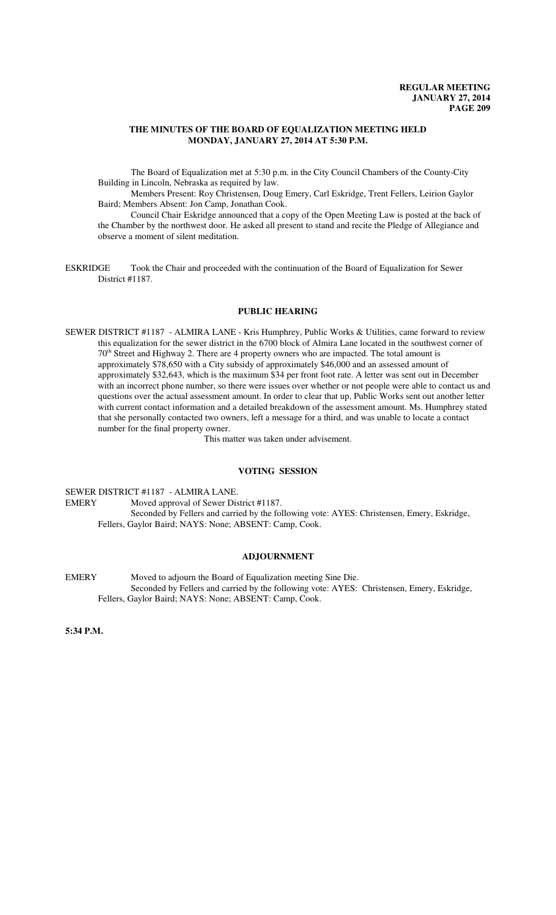## **THE MINUTES OF THE BOARD OF EQUALIZATION MEETING HELD MONDAY, JANUARY 27, 2014 AT 5:30 P.M.**

The Board of Equalization met at 5:30 p.m. in the City Council Chambers of the County-City Building in Lincoln, Nebraska as required by law.

Members Present: Roy Christensen, Doug Emery, Carl Eskridge, Trent Fellers, Leirion Gaylor Baird; Members Absent: Jon Camp, Jonathan Cook.

Council Chair Eskridge announced that a copy of the Open Meeting Law is posted at the back of the Chamber by the northwest door. He asked all present to stand and recite the Pledge of Allegiance and observe a moment of silent meditation.

ESKRIDGE Took the Chair and proceeded with the continuation of the Board of Equalization for Sewer District #1187.

# **PUBLIC HEARING**

SEWER DISTRICT #1187 - ALMIRA LANE - Kris Humphrey, Public Works & Utilities, came forward to review this equalization for the sewer district in the 6700 block of Almira Lane located in the southwest corner of 70<sup>th</sup> Street and Highway 2. There are 4 property owners who are impacted. The total amount is approximately \$78,650 with a City subsidy of approximately \$46,000 and an assessed amount of approximately \$32,643, which is the maximum \$34 per front foot rate. A letter was sent out in December with an incorrect phone number, so there were issues over whether or not people were able to contact us and questions over the actual assessment amount. In order to clear that up, Public Works sent out another letter with current contact information and a detailed breakdown of the assessment amount. Ms. Humphrey stated that she personally contacted two owners, left a message for a third, and was unable to locate a contact number for the final property owner.

This matter was taken under advisement.

# **VOTING SESSION**

SEWER DISTRICT #1187 - ALMIRA LANE. EMERY Moved approval of Sewer District #1187. Seconded by Fellers and carried by the following vote: AYES: Christensen, Emery, Eskridge, Fellers, Gaylor Baird; NAYS: None; ABSENT: Camp, Cook.

# **ADJOURNMENT**

EMERY Moved to adjourn the Board of Equalization meeting Sine Die. Seconded by Fellers and carried by the following vote: AYES: Christensen, Emery, Eskridge, Fellers, Gaylor Baird; NAYS: None; ABSENT: Camp, Cook.

**5:34 P.M.**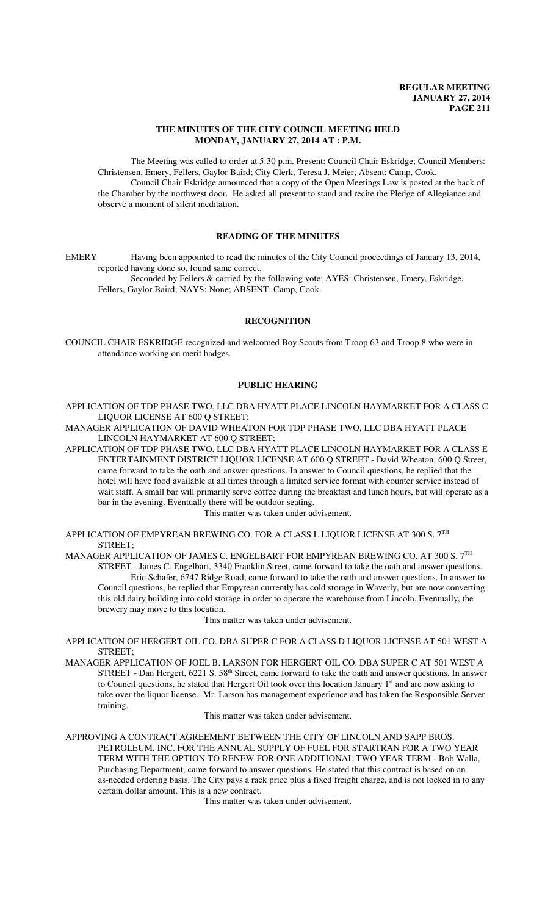# **THE MINUTES OF THE CITY COUNCIL MEETING HELD MONDAY, JANUARY 27, 2014 AT : P.M.**

The Meeting was called to order at 5:30 p.m. Present: Council Chair Eskridge; Council Members: Christensen, Emery, Fellers, Gaylor Baird; City Clerk, Teresa J. Meier; Absent: Camp, Cook. Council Chair Eskridge announced that a copy of the Open Meetings Law is posted at the back of the Chamber by the northwest door. He asked all present to stand and recite the Pledge of Allegiance and observe a moment of silent meditation.

# **READING OF THE MINUTES**

EMERY Having been appointed to read the minutes of the City Council proceedings of January 13, 2014, reported having done so, found same correct.

Seconded by Fellers & carried by the following vote: AYES: Christensen, Emery, Eskridge, Fellers, Gaylor Baird; NAYS: None; ABSENT: Camp, Cook.

# **RECOGNITION**

COUNCIL CHAIR ESKRIDGE recognized and welcomed Boy Scouts from Troop 63 and Troop 8 who were in attendance working on merit badges.

# **PUBLIC HEARING**

APPLICATION OF TDP PHASE TWO, LLC DBA HYATT PLACE LINCOLN HAYMARKET FOR A CLASS C LIQUOR LICENSE AT 600 Q STREET;

MANAGER APPLICATION OF DAVID WHEATON FOR TDP PHASE TWO, LLC DBA HYATT PLACE LINCOLN HAYMARKET AT 600 Q STREET;

APPLICATION OF TDP PHASE TWO, LLC DBA HYATT PLACE LINCOLN HAYMARKET FOR A CLASS E ENTERTAINMENT DISTRICT LIQUOR LICENSE AT 600 Q STREET - David Wheaton, 600 Q Street, came forward to take the oath and answer questions. In answer to Council questions, he replied that the hotel will have food available at all times through a limited service format with counter service instead of wait staff. A small bar will primarily serve coffee during the breakfast and lunch hours, but will operate as a bar in the evening. Eventually there will be outdoor seating.

This matter was taken under advisement.

APPLICATION OF EMPYREAN BREWING CO. FOR A CLASS L LIQUOR LICENSE AT 300 S.  $7^{\mathrm{TH}}$ STREET;

MANAGER APPLICATION OF JAMES C. ENGELBART FOR EMPYREAN BREWING CO. AT 300 S. 7TH STREET - James C. Engelbart, 3340 Franklin Street, came forward to take the oath and answer questions. Eric Schafer, 6747 Ridge Road, came forward to take the oath and answer questions. In answer to Council questions, he replied that Empyrean currently has cold storage in Waverly, but are now converting this old dairy building into cold storage in order to operate the warehouse from Lincoln. Eventually, the brewery may move to this location.

This matter was taken under advisement.

APPLICATION OF HERGERT OIL CO. DBA SUPER C FOR A CLASS D LIQUOR LICENSE AT 501 WEST A STREET;

MANAGER APPLICATION OF JOEL B. LARSON FOR HERGERT OIL CO. DBA SUPER C AT 501 WEST A STREET - Dan Hergert, 6221 S. 58<sup>th</sup> Street, came forward to take the oath and answer questions. In answer to Council questions, he stated that Hergert Oil took over this location January 1<sup>st</sup> and are now asking to take over the liquor license. Mr. Larson has management experience and has taken the Responsible Server training.

This matter was taken under advisement.

APPROVING A CONTRACT AGREEMENT BETWEEN THE CITY OF LINCOLN AND SAPP BROS. PETROLEUM, INC. FOR THE ANNUAL SUPPLY OF FUEL FOR STARTRAN FOR A TWO YEAR TERM WITH THE OPTION TO RENEW FOR ONE ADDITIONAL TWO YEAR TERM - Bob Walla, Purchasing Department, came forward to answer questions. He stated that this contract is based on an as-needed ordering basis. The City pays a rack price plus a fixed freight charge, and is not locked in to any certain dollar amount. This is a new contract.

This matter was taken under advisement.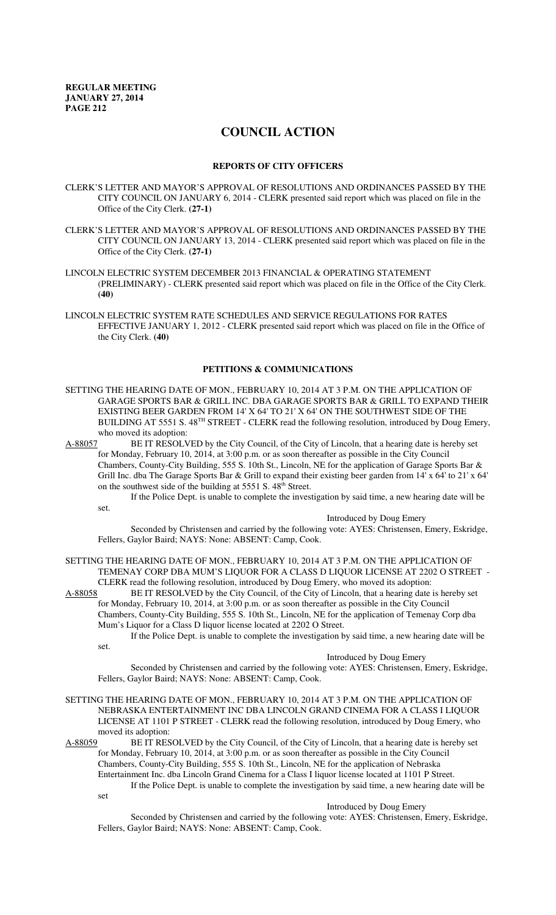# **COUNCIL ACTION**

### **REPORTS OF CITY OFFICERS**

- CLERK'S LETTER AND MAYOR'S APPROVAL OF RESOLUTIONS AND ORDINANCES PASSED BY THE CITY COUNCIL ON JANUARY 6, 2014 - CLERK presented said report which was placed on file in the Office of the City Clerk. **(27-1)**
- CLERK'S LETTER AND MAYOR'S APPROVAL OF RESOLUTIONS AND ORDINANCES PASSED BY THE CITY COUNCIL ON JANUARY 13, 2014 - CLERK presented said report which was placed on file in the Office of the City Clerk. **(27-1)**
- LINCOLN ELECTRIC SYSTEM DECEMBER 2013 FINANCIAL & OPERATING STATEMENT (PRELIMINARY) - CLERK presented said report which was placed on file in the Office of the City Clerk. **(40)**
- LINCOLN ELECTRIC SYSTEM RATE SCHEDULES AND SERVICE REGULATIONS FOR RATES EFFECTIVE JANUARY 1, 2012 - CLERK presented said report which was placed on file in the Office of the City Clerk. **(40)**

# **PETITIONS & COMMUNICATIONS**

- SETTING THE HEARING DATE OF MON., FEBRUARY 10, 2014 AT 3 P.M. ON THE APPLICATION OF GARAGE SPORTS BAR & GRILL INC. DBA GARAGE SPORTS BAR & GRILL TO EXPAND THEIR EXISTING BEER GARDEN FROM 14' X 64' TO 21' X 64' ON THE SOUTHWEST SIDE OF THE BUILDING AT 5551 S. 48<sup>TH</sup> STREET - CLERK read the following resolution, introduced by Doug Emery, who moved its adoption:
- A-88057 BE IT RESOLVED by the City Council, of the City of Lincoln, that a hearing date is hereby set for Monday, February 10, 2014, at 3:00 p.m. or as soon thereafter as possible in the City Council Chambers, County-City Building, 555 S. 10th St., Lincoln, NE for the application of Garage Sports Bar & Grill Inc. dba The Garage Sports Bar & Grill to expand their existing beer garden from 14' x 64' to 21' x 64' on the southwest side of the building at  $5551 S. 48<sup>th</sup>$  Street.

If the Police Dept. is unable to complete the investigation by said time, a new hearing date will be set.

Introduced by Doug Emery

Seconded by Christensen and carried by the following vote: AYES: Christensen, Emery, Eskridge, Fellers, Gaylor Baird; NAYS: None: ABSENT: Camp, Cook.

SETTING THE HEARING DATE OF MON., FEBRUARY 10, 2014 AT 3 P.M. ON THE APPLICATION OF TEMENAY CORP DBA MUM'S LIQUOR FOR A CLASS D LIQUOR LICENSE AT 2202 O STREET - CLERK read the following resolution, introduced by Doug Emery, who moved its adoption:

A-88058 BE IT RESOLVED by the City Council, of the City of Lincoln, that a hearing date is hereby set for Monday, February 10, 2014, at 3:00 p.m. or as soon thereafter as possible in the City Council Chambers, County-City Building, 555 S. 10th St., Lincoln, NE for the application of Temenay Corp dba Mum's Liquor for a Class D liquor license located at 2202 O Street.

If the Police Dept. is unable to complete the investigation by said time, a new hearing date will be set.

## Introduced by Doug Emery

Seconded by Christensen and carried by the following vote: AYES: Christensen, Emery, Eskridge, Fellers, Gaylor Baird; NAYS: None: ABSENT: Camp, Cook.

SETTING THE HEARING DATE OF MON., FEBRUARY 10, 2014 AT 3 P.M. ON THE APPLICATION OF NEBRASKA ENTERTAINMENT INC DBA LINCOLN GRAND CINEMA FOR A CLASS I LIQUOR LICENSE AT 1101 P STREET - CLERK read the following resolution, introduced by Doug Emery, who moved its adoption:<br>A-88059 BE IT RES

BE IT RESOLVED by the City Council, of the City of Lincoln, that a hearing date is hereby set for Monday, February 10, 2014, at 3:00 p.m. or as soon thereafter as possible in the City Council Chambers, County-City Building, 555 S. 10th St., Lincoln, NE for the application of Nebraska Entertainment Inc. dba Lincoln Grand Cinema for a Class I liquor license located at 1101 P Street. If the Police Dept. is unable to complete the investigation by said time, a new hearing date will be

set

#### Introduced by Doug Emery

Seconded by Christensen and carried by the following vote: AYES: Christensen, Emery, Eskridge, Fellers, Gaylor Baird; NAYS: None: ABSENT: Camp, Cook.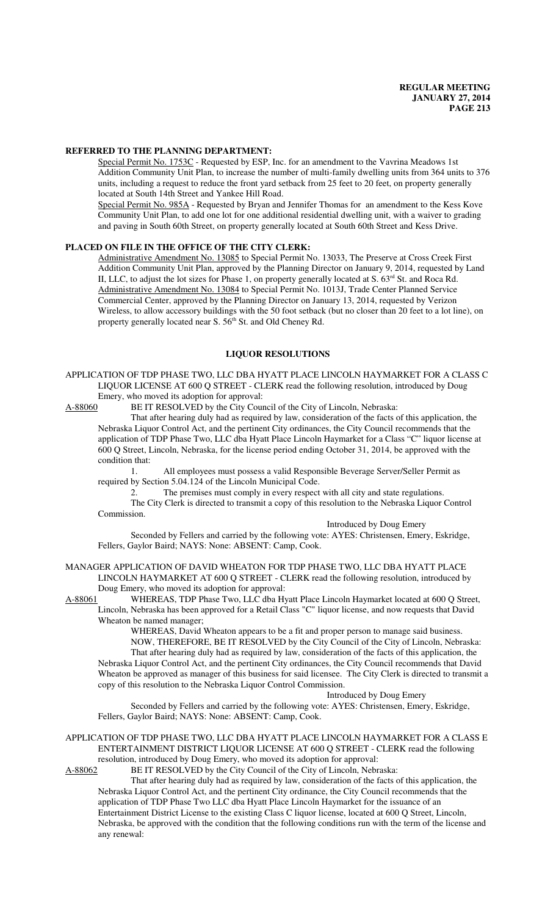#### **REFERRED TO THE PLANNING DEPARTMENT:**

Special Permit No. 1753C - Requested by ESP, Inc. for an amendment to the Vavrina Meadows 1st Addition Community Unit Plan, to increase the number of multi-family dwelling units from 364 units to 376 units, including a request to reduce the front yard setback from 25 feet to 20 feet, on property generally located at South 14th Street and Yankee Hill Road.

Special Permit No. 985A - Requested by Bryan and Jennifer Thomas for an amendment to the Kess Kove Community Unit Plan, to add one lot for one additional residential dwelling unit, with a waiver to grading and paving in South 60th Street, on property generally located at South 60th Street and Kess Drive.

#### **PLACED ON FILE IN THE OFFICE OF THE CITY CLERK:**

Administrative Amendment No. 13085 to Special Permit No. 13033, The Preserve at Cross Creek First Addition Community Unit Plan, approved by the Planning Director on January 9, 2014, requested by Land II, LLC, to adjust the lot sizes for Phase 1, on property generally located at S. 63<sup>rd</sup> St. and Roca Rd. Administrative Amendment No. 13084 to Special Permit No. 1013J, Trade Center Planned Service Commercial Center, approved by the Planning Director on January 13, 2014, requested by Verizon Wireless, to allow accessory buildings with the 50 foot setback (but no closer than 20 feet to a lot line), on property generally located near S.  $56<sup>th</sup>$  St. and Old Cheney Rd.

#### **LIQUOR RESOLUTIONS**

APPLICATION OF TDP PHASE TWO, LLC DBA HYATT PLACE LINCOLN HAYMARKET FOR A CLASS C LIQUOR LICENSE AT 600 Q STREET - CLERK read the following resolution, introduced by Doug Emery, who moved its adoption for approval:

A-88060 BE IT RESOLVED by the City Council of the City of Lincoln, Nebraska:

That after hearing duly had as required by law, consideration of the facts of this application, the Nebraska Liquor Control Act, and the pertinent City ordinances, the City Council recommends that the application of TDP Phase Two, LLC dba Hyatt Place Lincoln Haymarket for a Class "C" liquor license at 600 Q Street, Lincoln, Nebraska, for the license period ending October 31, 2014, be approved with the condition that:

1. All employees must possess a valid Responsible Beverage Server/Seller Permit as required by Section 5.04.124 of the Lincoln Municipal Code.

2. The premises must comply in every respect with all city and state regulations.

The City Clerk is directed to transmit a copy of this resolution to the Nebraska Liquor Control Commission.

Introduced by Doug Emery

Seconded by Fellers and carried by the following vote: AYES: Christensen, Emery, Eskridge, Fellers, Gaylor Baird; NAYS: None: ABSENT: Camp, Cook.

MANAGER APPLICATION OF DAVID WHEATON FOR TDP PHASE TWO, LLC DBA HYATT PLACE LINCOLN HAYMARKET AT 600 Q STREET - CLERK read the following resolution, introduced by Doug Emery, who moved its adoption for approval:<br>A-88061 WHEREAS, TDP Phase Two, LLC dba Hv

WHEREAS, TDP Phase Two, LLC dba Hyatt Place Lincoln Haymarket located at 600 Q Street, Lincoln, Nebraska has been approved for a Retail Class "C" liquor license, and now requests that David Wheaton be named manager;

WHEREAS, David Wheaton appears to be a fit and proper person to manage said business. NOW, THEREFORE, BE IT RESOLVED by the City Council of the City of Lincoln, Nebraska:

That after hearing duly had as required by law, consideration of the facts of this application, the Nebraska Liquor Control Act, and the pertinent City ordinances, the City Council recommends that David Wheaton be approved as manager of this business for said licensee. The City Clerk is directed to transmit a copy of this resolution to the Nebraska Liquor Control Commission.

Introduced by Doug Emery

Seconded by Fellers and carried by the following vote: AYES: Christensen, Emery, Eskridge, Fellers, Gaylor Baird; NAYS: None: ABSENT: Camp, Cook.

# APPLICATION OF TDP PHASE TWO, LLC DBA HYATT PLACE LINCOLN HAYMARKET FOR A CLASS E ENTERTAINMENT DISTRICT LIQUOR LICENSE AT 600 Q STREET - CLERK read the following resolution, introduced by Doug Emery, who moved its adoption for approval:<br>A-88062 BE IT RESOLVED by the City Council of the City of Lincoln, Nebra

BE IT RESOLVED by the City Council of the City of Lincoln, Nebraska:

That after hearing duly had as required by law, consideration of the facts of this application, the Nebraska Liquor Control Act, and the pertinent City ordinance, the City Council recommends that the application of TDP Phase Two LLC dba Hyatt Place Lincoln Haymarket for the issuance of an Entertainment District License to the existing Class C liquor license, located at 600 Q Street, Lincoln, Nebraska, be approved with the condition that the following conditions run with the term of the license and any renewal: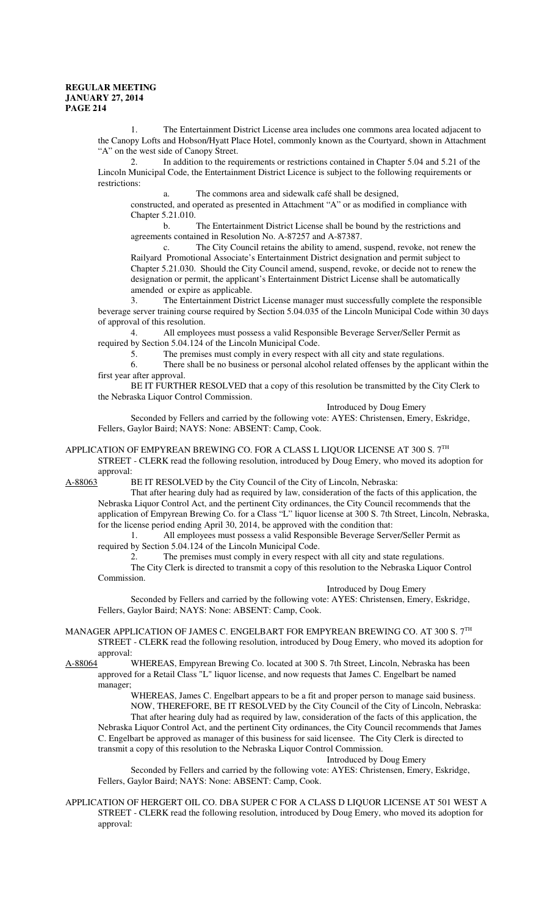1. The Entertainment District License area includes one commons area located adjacent to the Canopy Lofts and Hobson/Hyatt Place Hotel, commonly known as the Courtyard, shown in Attachment "A" on the west side of Canopy Street.

2. In addition to the requirements or restrictions contained in Chapter 5.04 and 5.21 of the Lincoln Municipal Code, the Entertainment District Licence is subject to the following requirements or restrictions:

The commons area and sidewalk café shall be designed,

constructed, and operated as presented in Attachment "A" or as modified in compliance with Chapter 5.21.010.

b. The Entertainment District License shall be bound by the restrictions and agreements contained in Resolution No. A-87257 and A-87387.

c. The City Council retains the ability to amend, suspend, revoke, not renew the Railyard Promotional Associate's Entertainment District designation and permit subject to Chapter 5.21.030. Should the City Council amend, suspend, revoke, or decide not to renew the designation or permit, the applicant's Entertainment District License shall be automatically amended or expire as applicable.

3. The Entertainment District License manager must successfully complete the responsible beverage server training course required by Section 5.04.035 of the Lincoln Municipal Code within 30 days of approval of this resolution.

4. All employees must possess a valid Responsible Beverage Server/Seller Permit as required by Section 5.04.124 of the Lincoln Municipal Code.

5. The premises must comply in every respect with all city and state regulations.

6. There shall be no business or personal alcohol related offenses by the applicant within the first year after approval.

BE IT FURTHER RESOLVED that a copy of this resolution be transmitted by the City Clerk to the Nebraska Liquor Control Commission.

Introduced by Doug Emery

Seconded by Fellers and carried by the following vote: AYES: Christensen, Emery, Eskridge, Fellers, Gaylor Baird; NAYS: None: ABSENT: Camp, Cook.

# APPLICATION OF EMPYREAN BREWING CO. FOR A CLASS L LIQUOR LICENSE AT 300 S. 7TH

STREET - CLERK read the following resolution, introduced by Doug Emery, who moved its adoption for approval:<br>A-88063 I

BE IT RESOLVED by the City Council of the City of Lincoln, Nebraska:

That after hearing duly had as required by law, consideration of the facts of this application, the Nebraska Liquor Control Act, and the pertinent City ordinances, the City Council recommends that the application of Empyrean Brewing Co. for a Class "L" liquor license at 300 S. 7th Street, Lincoln, Nebraska, for the license period ending April 30, 2014, be approved with the condition that:

1. All employees must possess a valid Responsible Beverage Server/Seller Permit as required by Section 5.04.124 of the Lincoln Municipal Code.

2. The premises must comply in every respect with all city and state regulations.

The City Clerk is directed to transmit a copy of this resolution to the Nebraska Liquor Control Commission.

Introduced by Doug Emery

Seconded by Fellers and carried by the following vote: AYES: Christensen, Emery, Eskridge, Fellers, Gaylor Baird; NAYS: None: ABSENT: Camp, Cook.

MANAGER APPLICATION OF JAMES C. ENGELBART FOR EMPYREAN BREWING CO. AT 300 S. 7TH STREET - CLERK read the following resolution, introduced by Doug Emery, who moved its adoption for approval:<br>A-88064

WHEREAS, Empyrean Brewing Co. located at 300 S. 7th Street, Lincoln, Nebraska has been approved for a Retail Class "L" liquor license, and now requests that James C. Engelbart be named manager;

WHEREAS, James C. Engelbart appears to be a fit and proper person to manage said business. NOW, THEREFORE, BE IT RESOLVED by the City Council of the City of Lincoln, Nebraska: That after hearing duly had as required by law, consideration of the facts of this application, the Nebraska Liquor Control Act, and the pertinent City ordinances, the City Council recommends that James C. Engelbart be approved as manager of this business for said licensee. The City Clerk is directed to transmit a copy of this resolution to the Nebraska Liquor Control Commission.

## Introduced by Doug Emery

Seconded by Fellers and carried by the following vote: AYES: Christensen, Emery, Eskridge, Fellers, Gaylor Baird; NAYS: None: ABSENT: Camp, Cook.

APPLICATION OF HERGERT OIL CO. DBA SUPER C FOR A CLASS D LIQUOR LICENSE AT 501 WEST A STREET - CLERK read the following resolution, introduced by Doug Emery, who moved its adoption for approval: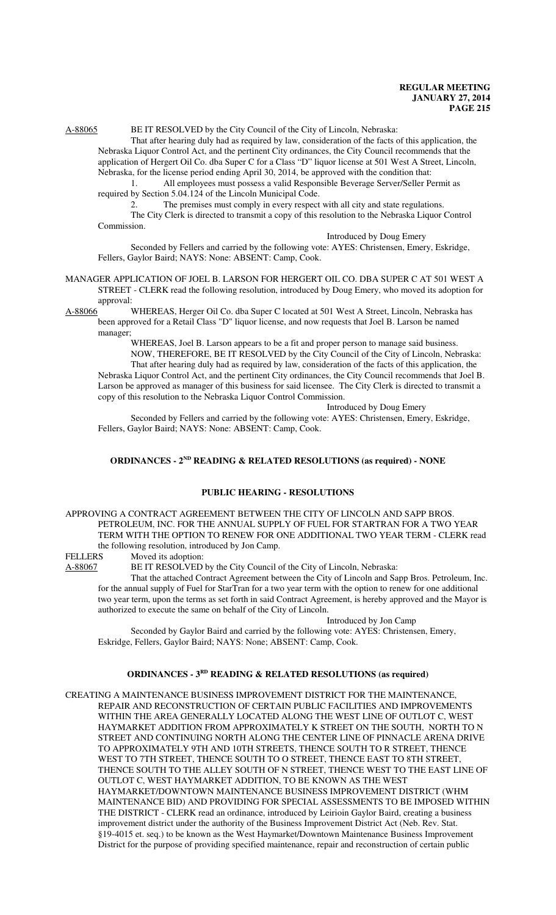# A-88065 BE IT RESOLVED by the City Council of the City of Lincoln, Nebraska:

That after hearing duly had as required by law, consideration of the facts of this application, the Nebraska Liquor Control Act, and the pertinent City ordinances, the City Council recommends that the application of Hergert Oil Co. dba Super C for a Class "D" liquor license at 501 West A Street, Lincoln, Nebraska, for the license period ending April 30, 2014, be approved with the condition that:

1. All employees must possess a valid Responsible Beverage Server/Seller Permit as required by Section 5.04.124 of the Lincoln Municipal Code.

2. The premises must comply in every respect with all city and state regulations.

The City Clerk is directed to transmit a copy of this resolution to the Nebraska Liquor Control Commission.

Introduced by Doug Emery

Seconded by Fellers and carried by the following vote: AYES: Christensen, Emery, Eskridge, Fellers, Gaylor Baird; NAYS: None: ABSENT: Camp, Cook.

- MANAGER APPLICATION OF JOEL B. LARSON FOR HERGERT OIL CO. DBA SUPER C AT 501 WEST A STREET - CLERK read the following resolution, introduced by Doug Emery, who moved its adoption for approval:
- A-88066 WHEREAS, Herger Oil Co. dba Super C located at 501 West A Street, Lincoln, Nebraska has been approved for a Retail Class "D" liquor license, and now requests that Joel B. Larson be named manager;

WHEREAS, Joel B. Larson appears to be a fit and proper person to manage said business. NOW, THEREFORE, BE IT RESOLVED by the City Council of the City of Lincoln, Nebraska: That after hearing duly had as required by law, consideration of the facts of this application, the Nebraska Liquor Control Act, and the pertinent City ordinances, the City Council recommends that Joel B. Larson be approved as manager of this business for said licensee. The City Clerk is directed to transmit a copy of this resolution to the Nebraska Liquor Control Commission.

Introduced by Doug Emery

Seconded by Fellers and carried by the following vote: AYES: Christensen, Emery, Eskridge, Fellers, Gaylor Baird; NAYS: None: ABSENT: Camp, Cook.

## **ORDINANCES - 2<sup>ND</sup> READING & RELATED RESOLUTIONS (as required) - NONE**

# **PUBLIC HEARING - RESOLUTIONS**

APPROVING A CONTRACT AGREEMENT BETWEEN THE CITY OF LINCOLN AND SAPP BROS. PETROLEUM, INC. FOR THE ANNUAL SUPPLY OF FUEL FOR STARTRAN FOR A TWO YEAR TERM WITH THE OPTION TO RENEW FOR ONE ADDITIONAL TWO YEAR TERM - CLERK read the following resolution, introduced by Jon Camp.<br>FELLERS Moved its adoption:

Moved its adoption:

A-88067 BE IT RESOLVED by the City Council of the City of Lincoln, Nebraska:

That the attached Contract Agreement between the City of Lincoln and Sapp Bros. Petroleum, Inc. for the annual supply of Fuel for StarTran for a two year term with the option to renew for one additional two year term, upon the terms as set forth in said Contract Agreement, is hereby approved and the Mayor is authorized to execute the same on behalf of the City of Lincoln.

Introduced by Jon Camp

Seconded by Gaylor Baird and carried by the following vote: AYES: Christensen, Emery, Eskridge, Fellers, Gaylor Baird; NAYS: None; ABSENT: Camp, Cook.

# **ORDINANCES - 3RD READING & RELATED RESOLUTIONS (as required)**

CREATING A MAINTENANCE BUSINESS IMPROVEMENT DISTRICT FOR THE MAINTENANCE, REPAIR AND RECONSTRUCTION OF CERTAIN PUBLIC FACILITIES AND IMPROVEMENTS WITHIN THE AREA GENERALLY LOCATED ALONG THE WEST LINE OF OUTLOT C, WEST HAYMARKET ADDITION FROM APPROXIMATELY K STREET ON THE SOUTH, NORTH TO N STREET AND CONTINUING NORTH ALONG THE CENTER LINE OF PINNACLE ARENA DRIVE TO APPROXIMATELY 9TH AND 10TH STREETS, THENCE SOUTH TO R STREET, THENCE WEST TO 7TH STREET, THENCE SOUTH TO O STREET, THENCE EAST TO 8TH STREET, THENCE SOUTH TO THE ALLEY SOUTH OF N STREET, THENCE WEST TO THE EAST LINE OF OUTLOT C, WEST HAYMARKET ADDITION, TO BE KNOWN AS THE WEST HAYMARKET/DOWNTOWN MAINTENANCE BUSINESS IMPROVEMENT DISTRICT (WHM MAINTENANCE BID) AND PROVIDING FOR SPECIAL ASSESSMENTS TO BE IMPOSED WITHIN THE DISTRICT - CLERK read an ordinance, introduced by Leirioin Gaylor Baird, creating a business improvement district under the authority of the Business Improvement District Act (Neb. Rev. Stat. §19-4015 et. seq.) to be known as the West Haymarket/Downtown Maintenance Business Improvement District for the purpose of providing specified maintenance, repair and reconstruction of certain public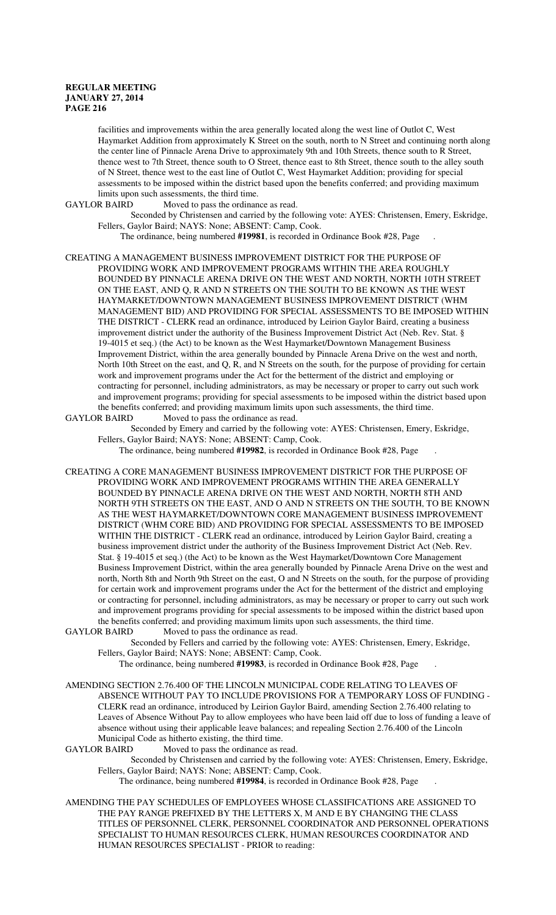facilities and improvements within the area generally located along the west line of Outlot C, West Haymarket Addition from approximately K Street on the south, north to N Street and continuing north along the center line of Pinnacle Arena Drive to approximately 9th and 10th Streets, thence south to R Street, thence west to 7th Street, thence south to O Street, thence east to 8th Street, thence south to the alley south of N Street, thence west to the east line of Outlot C, West Haymarket Addition; providing for special assessments to be imposed within the district based upon the benefits conferred; and providing maximum limits upon such assessments, the third time.<br>GAYLOR BAIRD Moved to pass the ordinance

Moved to pass the ordinance as read.

Seconded by Christensen and carried by the following vote: AYES: Christensen, Emery, Eskridge, Fellers, Gaylor Baird; NAYS: None; ABSENT: Camp, Cook.

The ordinance, being numbered **#19981**, is recorded in Ordinance Book #28, Page .

CREATING A MANAGEMENT BUSINESS IMPROVEMENT DISTRICT FOR THE PURPOSE OF PROVIDING WORK AND IMPROVEMENT PROGRAMS WITHIN THE AREA ROUGHLY BOUNDED BY PINNACLE ARENA DRIVE ON THE WEST AND NORTH, NORTH 10TH STREET ON THE EAST, AND Q, R AND N STREETS ON THE SOUTH TO BE KNOWN AS THE WEST HAYMARKET/DOWNTOWN MANAGEMENT BUSINESS IMPROVEMENT DISTRICT (WHM MANAGEMENT BID) AND PROVIDING FOR SPECIAL ASSESSMENTS TO BE IMPOSED WITHIN THE DISTRICT - CLERK read an ordinance, introduced by Leirion Gaylor Baird, creating a business improvement district under the authority of the Business Improvement District Act (Neb. Rev. Stat. § 19-4015 et seq.) (the Act) to be known as the West Haymarket/Downtown Management Business Improvement District, within the area generally bounded by Pinnacle Arena Drive on the west and north, North 10th Street on the east, and Q, R, and N Streets on the south, for the purpose of providing for certain work and improvement programs under the Act for the betterment of the district and employing or contracting for personnel, including administrators, as may be necessary or proper to carry out such work and improvement programs; providing for special assessments to be imposed within the district based upon the benefits conferred; and providing maximum limits upon such assessments, the third time.

GAYLOR BAIRD Moved to pass the ordinance as read.

Seconded by Emery and carried by the following vote: AYES: Christensen, Emery, Eskridge, Fellers, Gaylor Baird; NAYS: None; ABSENT: Camp, Cook.

The ordinance, being numbered **#19982**, is recorded in Ordinance Book #28, Page .

CREATING A CORE MANAGEMENT BUSINESS IMPROVEMENT DISTRICT FOR THE PURPOSE OF PROVIDING WORK AND IMPROVEMENT PROGRAMS WITHIN THE AREA GENERALLY BOUNDED BY PINNACLE ARENA DRIVE ON THE WEST AND NORTH, NORTH 8TH AND NORTH 9TH STREETS ON THE EAST, AND O AND N STREETS ON THE SOUTH, TO BE KNOWN AS THE WEST HAYMARKET/DOWNTOWN CORE MANAGEMENT BUSINESS IMPROVEMENT DISTRICT (WHM CORE BID) AND PROVIDING FOR SPECIAL ASSESSMENTS TO BE IMPOSED WITHIN THE DISTRICT - CLERK read an ordinance, introduced by Leirion Gaylor Baird, creating a business improvement district under the authority of the Business Improvement District Act (Neb. Rev. Stat. § 19-4015 et seq.) (the Act) to be known as the West Haymarket/Downtown Core Management Business Improvement District, within the area generally bounded by Pinnacle Arena Drive on the west and north, North 8th and North 9th Street on the east, O and N Streets on the south, for the purpose of providing for certain work and improvement programs under the Act for the betterment of the district and employing or contracting for personnel, including administrators, as may be necessary or proper to carry out such work and improvement programs providing for special assessments to be imposed within the district based upon the benefits conferred; and providing maximum limits upon such assessments, the third time.<br>GAYLOR BAIRD Moved to pass the ordinance as read. Moved to pass the ordinance as read.

Seconded by Fellers and carried by the following vote: AYES: Christensen, Emery, Eskridge, Fellers, Gaylor Baird; NAYS: None; ABSENT: Camp, Cook.

The ordinance, being numbered **#19983**, is recorded in Ordinance Book #28, Page .

AMENDING SECTION 2.76.400 OF THE LINCOLN MUNICIPAL CODE RELATING TO LEAVES OF ABSENCE WITHOUT PAY TO INCLUDE PROVISIONS FOR A TEMPORARY LOSS OF FUNDING - CLERK read an ordinance, introduced by Leirion Gaylor Baird, amending Section 2.76.400 relating to Leaves of Absence Without Pay to allow employees who have been laid off due to loss of funding a leave of absence without using their applicable leave balances; and repealing Section 2.76.400 of the Lincoln Municipal Code as hitherto existing, the third time.

GAYLOR BAIRD Moved to pass the ordinance as read.

Seconded by Christensen and carried by the following vote: AYES: Christensen, Emery, Eskridge, Fellers, Gaylor Baird; NAYS: None; ABSENT: Camp, Cook.

The ordinance, being numbered **#19984**, is recorded in Ordinance Book #28, Page .

AMENDING THE PAY SCHEDULES OF EMPLOYEES WHOSE CLASSIFICATIONS ARE ASSIGNED TO THE PAY RANGE PREFIXED BY THE LETTERS X, M AND E BY CHANGING THE CLASS TITLES OF PERSONNEL CLERK, PERSONNEL COORDINATOR AND PERSONNEL OPERATIONS SPECIALIST TO HUMAN RESOURCES CLERK, HUMAN RESOURCES COORDINATOR AND HUMAN RESOURCES SPECIALIST - PRIOR to reading: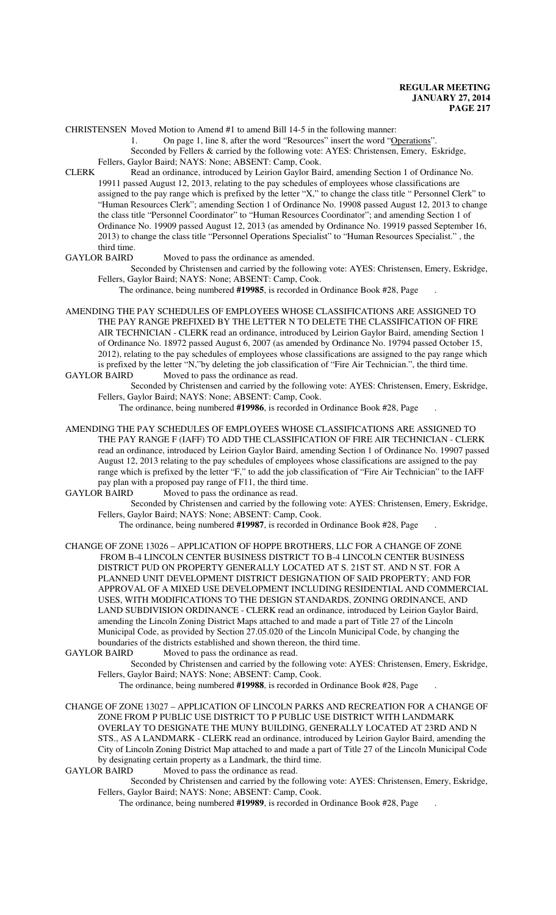CHRISTENSEN Moved Motion to Amend #1 to amend Bill 14-5 in the following manner:

1. On page 1, line 8, after the word "Resources" insert the word "Operations".

Seconded by Fellers & carried by the following vote: AYES: Christensen, Emery, Eskridge,

Fellers, Gaylor Baird; NAYS: None; ABSENT: Camp, Cook.

CLERK Read an ordinance, introduced by Leirion Gaylor Baird, amending Section 1 of Ordinance No. 19911 passed August 12, 2013, relating to the pay schedules of employees whose classifications are assigned to the pay range which is prefixed by the letter "X," to change the class title " Personnel Clerk" to "Human Resources Clerk"; amending Section 1 of Ordinance No. 19908 passed August 12, 2013 to change the class title "Personnel Coordinator" to "Human Resources Coordinator"; and amending Section 1 of Ordinance No. 19909 passed August 12, 2013 (as amended by Ordinance No. 19919 passed September 16, 2013) to change the class title "Personnel Operations Specialist" to "Human Resources Specialist." , the

third time.<br>GAYLOR BAIRD

Moved to pass the ordinance as amended.

Seconded by Christensen and carried by the following vote: AYES: Christensen, Emery, Eskridge, Fellers, Gaylor Baird; NAYS: None; ABSENT: Camp, Cook.

The ordinance, being numbered **#19985**, is recorded in Ordinance Book #28, Page .

AMENDING THE PAY SCHEDULES OF EMPLOYEES WHOSE CLASSIFICATIONS ARE ASSIGNED TO THE PAY RANGE PREFIXED BY THE LETTER N TO DELETE THE CLASSIFICATION OF FIRE AIR TECHNICIAN - CLERK read an ordinance, introduced by Leirion Gaylor Baird, amending Section 1 of Ordinance No. 18972 passed August 6, 2007 (as amended by Ordinance No. 19794 passed October 15, 2012), relating to the pay schedules of employees whose classifications are assigned to the pay range which is prefixed by the letter "N,"by deleting the job classification of "Fire Air Technician.", the third time. Moved to pass the ordinance as read.

Seconded by Christensen and carried by the following vote: AYES: Christensen, Emery, Eskridge, Fellers, Gaylor Baird; NAYS: None; ABSENT: Camp, Cook.

The ordinance, being numbered **#19986**, is recorded in Ordinance Book #28, Page .

AMENDING THE PAY SCHEDULES OF EMPLOYEES WHOSE CLASSIFICATIONS ARE ASSIGNED TO THE PAY RANGE F (IAFF) TO ADD THE CLASSIFICATION OF FIRE AIR TECHNICIAN - CLERK read an ordinance, introduced by Leirion Gaylor Baird, amending Section 1 of Ordinance No. 19907 passed August 12, 2013 relating to the pay schedules of employees whose classifications are assigned to the pay range which is prefixed by the letter "F," to add the job classification of "Fire Air Technician" to the IAFF pay plan with a proposed pay range of F11, the third time.<br>GAYLOR BAIRD Moved to pass the ordinance as read.

Moved to pass the ordinance as read.

Seconded by Christensen and carried by the following vote: AYES: Christensen, Emery, Eskridge, Fellers, Gaylor Baird; NAYS: None; ABSENT: Camp, Cook.

The ordinance, being numbered **#19987**, is recorded in Ordinance Book #28, Page .

CHANGE OF ZONE 13026 – APPLICATION OF HOPPE BROTHERS, LLC FOR A CHANGE OF ZONE FROM B-4 LINCOLN CENTER BUSINESS DISTRICT TO B-4 LINCOLN CENTER BUSINESS DISTRICT PUD ON PROPERTY GENERALLY LOCATED AT S. 21ST ST. AND N ST. FOR A PLANNED UNIT DEVELOPMENT DISTRICT DESIGNATION OF SAID PROPERTY; AND FOR APPROVAL OF A MIXED USE DEVELOPMENT INCLUDING RESIDENTIAL AND COMMERCIAL USES, WITH MODIFICATIONS TO THE DESIGN STANDARDS, ZONING ORDINANCE, AND LAND SUBDIVISION ORDINANCE - CLERK read an ordinance, introduced by Leirion Gaylor Baird, amending the Lincoln Zoning District Maps attached to and made a part of Title 27 of the Lincoln Municipal Code, as provided by Section 27.05.020 of the Lincoln Municipal Code, by changing the boundaries of the districts established and shown thereon, the third time.

GAYLOR BAIRD Moved to pass the ordinance as read.

Seconded by Christensen and carried by the following vote: AYES: Christensen, Emery, Eskridge, Fellers, Gaylor Baird; NAYS: None; ABSENT: Camp, Cook.

The ordinance, being numbered **#19988**, is recorded in Ordinance Book #28, Page .

CHANGE OF ZONE 13027 – APPLICATION OF LINCOLN PARKS AND RECREATION FOR A CHANGE OF ZONE FROM P PUBLIC USE DISTRICT TO P PUBLIC USE DISTRICT WITH LANDMARK OVERLAY TO DESIGNATE THE MUNY BUILDING, GENERALLY LOCATED AT 23RD AND N STS., AS A LANDMARK - CLERK read an ordinance, introduced by Leirion Gaylor Baird, amending the City of Lincoln Zoning District Map attached to and made a part of Title 27 of the Lincoln Municipal Code by designating certain property as a Landmark, the third time.

GAYLOR BAIRD Moved to pass the ordinance as read.

Seconded by Christensen and carried by the following vote: AYES: Christensen, Emery, Eskridge, Fellers, Gaylor Baird; NAYS: None; ABSENT: Camp, Cook.

The ordinance, being numbered **#19989**, is recorded in Ordinance Book #28, Page .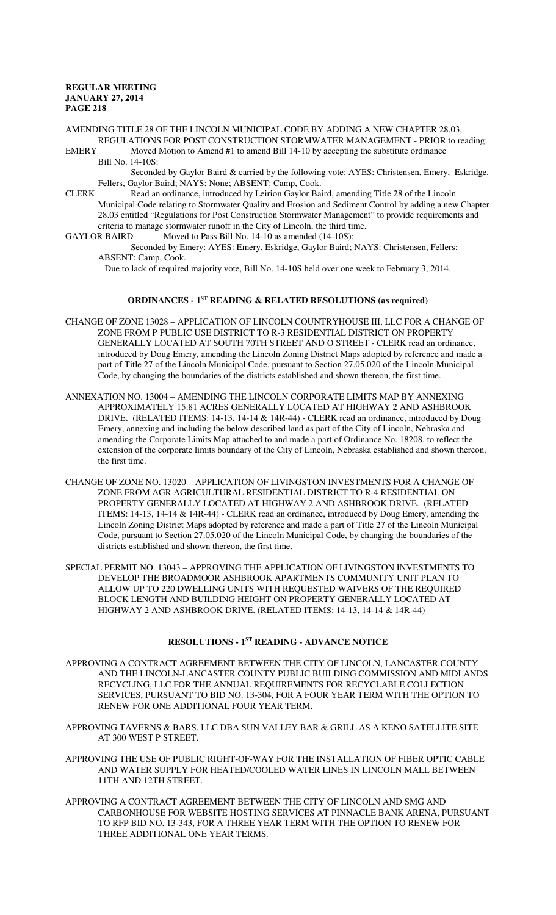AMENDING TITLE 28 OF THE LINCOLN MUNICIPAL CODE BY ADDING A NEW CHAPTER 28.03, REGULATIONS FOR POST CONSTRUCTION STORMWATER MANAGEMENT - PRIOR to reading:<br>EMERY Moved Motion to Amend #1 to amend Bill 14-10 by accepting the substitute ordinance Moved Motion to Amend #1 to amend Bill 14-10 by accepting the substitute ordinance

Bill No. 14-10S: Seconded by Gaylor Baird & carried by the following vote: AYES: Christensen, Emery, Eskridge,

Fellers, Gaylor Baird; NAYS: None; ABSENT: Camp, Cook.

- CLERK Read an ordinance, introduced by Leirion Gaylor Baird, amending Title 28 of the Lincoln Municipal Code relating to Stormwater Quality and Erosion and Sediment Control by adding a new Chapter 28.03 entitled "Regulations for Post Construction Stormwater Management" to provide requirements and criteria to manage stormwater runoff in the City of Lincoln, the third time.
- GAYLOR BAIRD Moved to Pass Bill No. 14-10 as amended (14-10S):

Seconded by Emery: AYES: Emery, Eskridge, Gaylor Baird; NAYS: Christensen, Fellers; ABSENT: Camp, Cook.

Due to lack of required majority vote, Bill No. 14-10S held over one week to February 3, 2014.

# **ORDINANCES - 1ST READING & RELATED RESOLUTIONS (as required)**

- CHANGE OF ZONE 13028 APPLICATION OF LINCOLN COUNTRYHOUSE III, LLC FOR A CHANGE OF ZONE FROM P PUBLIC USE DISTRICT TO R-3 RESIDENTIAL DISTRICT ON PROPERTY GENERALLY LOCATED AT SOUTH 70TH STREET AND O STREET - CLERK read an ordinance, introduced by Doug Emery, amending the Lincoln Zoning District Maps adopted by reference and made a part of Title 27 of the Lincoln Municipal Code, pursuant to Section 27.05.020 of the Lincoln Municipal Code, by changing the boundaries of the districts established and shown thereon, the first time.
- ANNEXATION NO. 13004 AMENDING THE LINCOLN CORPORATE LIMITS MAP BY ANNEXING APPROXIMATELY 15.81 ACRES GENERALLY LOCATED AT HIGHWAY 2 AND ASHBROOK DRIVE. (RELATED ITEMS: 14-13, 14-14 & 14R-44) - CLERK read an ordinance, introduced by Doug Emery, annexing and including the below described land as part of the City of Lincoln, Nebraska and amending the Corporate Limits Map attached to and made a part of Ordinance No. 18208, to reflect the extension of the corporate limits boundary of the City of Lincoln, Nebraska established and shown thereon, the first time.
- CHANGE OF ZONE NO. 13020 APPLICATION OF LIVINGSTON INVESTMENTS FOR A CHANGE OF ZONE FROM AGR AGRICULTURAL RESIDENTIAL DISTRICT TO R-4 RESIDENTIAL ON PROPERTY GENERALLY LOCATED AT HIGHWAY 2 AND ASHBROOK DRIVE. (RELATED ITEMS: 14-13, 14-14 & 14R-44) - CLERK read an ordinance, introduced by Doug Emery, amending the Lincoln Zoning District Maps adopted by reference and made a part of Title 27 of the Lincoln Municipal Code, pursuant to Section 27.05.020 of the Lincoln Municipal Code, by changing the boundaries of the districts established and shown thereon, the first time.
- SPECIAL PERMIT NO. 13043 APPROVING THE APPLICATION OF LIVINGSTON INVESTMENTS TO DEVELOP THE BROADMOOR ASHBROOK APARTMENTS COMMUNITY UNIT PLAN TO ALLOW UP TO 220 DWELLING UNITS WITH REQUESTED WAIVERS OF THE REQUIRED BLOCK LENGTH AND BUILDING HEIGHT ON PROPERTY GENERALLY LOCATED AT HIGHWAY 2 AND ASHBROOK DRIVE. (RELATED ITEMS: 14-13, 14-14 & 14R-44)

# **RESOLUTIONS - 1ST READING - ADVANCE NOTICE**

- APPROVING A CONTRACT AGREEMENT BETWEEN THE CITY OF LINCOLN, LANCASTER COUNTY AND THE LINCOLN-LANCASTER COUNTY PUBLIC BUILDING COMMISSION AND MIDLANDS RECYCLING, LLC FOR THE ANNUAL REQUIREMENTS FOR RECYCLABLE COLLECTION SERVICES, PURSUANT TO BID NO. 13-304, FOR A FOUR YEAR TERM WITH THE OPTION TO RENEW FOR ONE ADDITIONAL FOUR YEAR TERM.
- APPROVING TAVERNS & BARS, LLC DBA SUN VALLEY BAR & GRILL AS A KENO SATELLITE SITE AT 300 WEST P STREET.
- APPROVING THE USE OF PUBLIC RIGHT-OF-WAY FOR THE INSTALLATION OF FIBER OPTIC CABLE AND WATER SUPPLY FOR HEATED/COOLED WATER LINES IN LINCOLN MALL BETWEEN 11TH AND 12TH STREET.
- APPROVING A CONTRACT AGREEMENT BETWEEN THE CITY OF LINCOLN AND SMG AND CARBONHOUSE FOR WEBSITE HOSTING SERVICES AT PINNACLE BANK ARENA, PURSUANT TO RFP BID NO. 13-343, FOR A THREE YEAR TERM WITH THE OPTION TO RENEW FOR THREE ADDITIONAL ONE YEAR TERMS.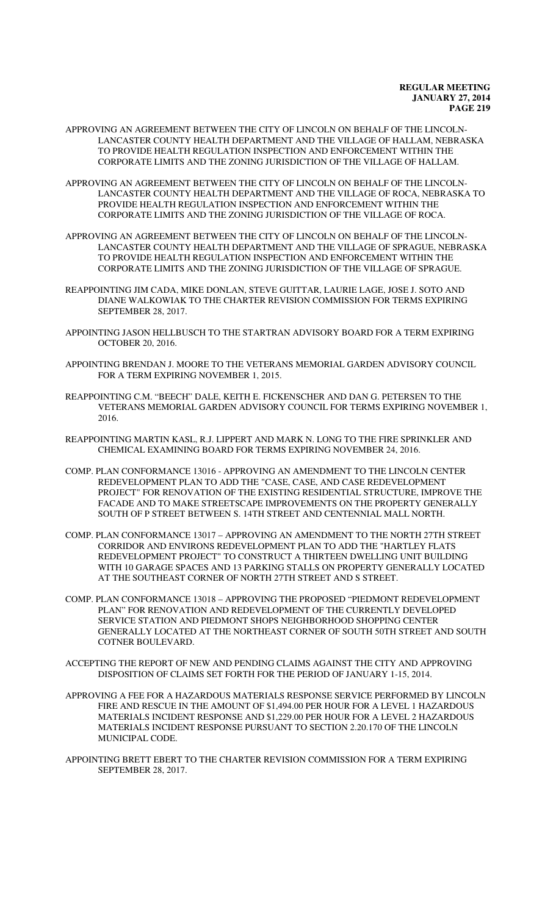- APPROVING AN AGREEMENT BETWEEN THE CITY OF LINCOLN ON BEHALF OF THE LINCOLN-LANCASTER COUNTY HEALTH DEPARTMENT AND THE VILLAGE OF HALLAM, NEBRASKA TO PROVIDE HEALTH REGULATION INSPECTION AND ENFORCEMENT WITHIN THE CORPORATE LIMITS AND THE ZONING JURISDICTION OF THE VILLAGE OF HALLAM.
- APPROVING AN AGREEMENT BETWEEN THE CITY OF LINCOLN ON BEHALF OF THE LINCOLN-LANCASTER COUNTY HEALTH DEPARTMENT AND THE VILLAGE OF ROCA, NEBRASKA TO PROVIDE HEALTH REGULATION INSPECTION AND ENFORCEMENT WITHIN THE CORPORATE LIMITS AND THE ZONING JURISDICTION OF THE VILLAGE OF ROCA.
- APPROVING AN AGREEMENT BETWEEN THE CITY OF LINCOLN ON BEHALF OF THE LINCOLN-LANCASTER COUNTY HEALTH DEPARTMENT AND THE VILLAGE OF SPRAGUE, NEBRASKA TO PROVIDE HEALTH REGULATION INSPECTION AND ENFORCEMENT WITHIN THE CORPORATE LIMITS AND THE ZONING JURISDICTION OF THE VILLAGE OF SPRAGUE.
- REAPPOINTING JIM CADA, MIKE DONLAN, STEVE GUITTAR, LAURIE LAGE, JOSE J. SOTO AND DIANE WALKOWIAK TO THE CHARTER REVISION COMMISSION FOR TERMS EXPIRING SEPTEMBER 28, 2017.
- APPOINTING JASON HELLBUSCH TO THE STARTRAN ADVISORY BOARD FOR A TERM EXPIRING OCTOBER 20, 2016.
- APPOINTING BRENDAN J. MOORE TO THE VETERANS MEMORIAL GARDEN ADVISORY COUNCIL FOR A TERM EXPIRING NOVEMBER 1, 2015.
- REAPPOINTING C.M. "BEECH" DALE, KEITH E. FICKENSCHER AND DAN G. PETERSEN TO THE VETERANS MEMORIAL GARDEN ADVISORY COUNCIL FOR TERMS EXPIRING NOVEMBER 1, 2016.
- REAPPOINTING MARTIN KASL, R.J. LIPPERT AND MARK N. LONG TO THE FIRE SPRINKLER AND CHEMICAL EXAMINING BOARD FOR TERMS EXPIRING NOVEMBER 24, 2016.
- COMP. PLAN CONFORMANCE 13016 APPROVING AN AMENDMENT TO THE LINCOLN CENTER REDEVELOPMENT PLAN TO ADD THE "CASE, CASE, AND CASE REDEVELOPMENT PROJECT" FOR RENOVATION OF THE EXISTING RESIDENTIAL STRUCTURE, IMPROVE THE FACADE AND TO MAKE STREETSCAPE IMPROVEMENTS ON THE PROPERTY GENERALLY SOUTH OF P STREET BETWEEN S. 14TH STREET AND CENTENNIAL MALL NORTH.
- COMP. PLAN CONFORMANCE 13017 APPROVING AN AMENDMENT TO THE NORTH 27TH STREET CORRIDOR AND ENVIRONS REDEVELOPMENT PLAN TO ADD THE "HARTLEY FLATS REDEVELOPMENT PROJECT" TO CONSTRUCT A THIRTEEN DWELLING UNIT BUILDING WITH 10 GARAGE SPACES AND 13 PARKING STALLS ON PROPERTY GENERALLY LOCATED AT THE SOUTHEAST CORNER OF NORTH 27TH STREET AND S STREET.
- COMP. PLAN CONFORMANCE 13018 APPROVING THE PROPOSED "PIEDMONT REDEVELOPMENT PLAN" FOR RENOVATION AND REDEVELOPMENT OF THE CURRENTLY DEVELOPED SERVICE STATION AND PIEDMONT SHOPS NEIGHBORHOOD SHOPPING CENTER GENERALLY LOCATED AT THE NORTHEAST CORNER OF SOUTH 50TH STREET AND SOUTH COTNER BOULEVARD.
- ACCEPTING THE REPORT OF NEW AND PENDING CLAIMS AGAINST THE CITY AND APPROVING DISPOSITION OF CLAIMS SET FORTH FOR THE PERIOD OF JANUARY 1-15, 2014.
- APPROVING A FEE FOR A HAZARDOUS MATERIALS RESPONSE SERVICE PERFORMED BY LINCOLN FIRE AND RESCUE IN THE AMOUNT OF \$1,494.00 PER HOUR FOR A LEVEL 1 HAZARDOUS MATERIALS INCIDENT RESPONSE AND \$1,229.00 PER HOUR FOR A LEVEL 2 HAZARDOUS MATERIALS INCIDENT RESPONSE PURSUANT TO SECTION 2.20.170 OF THE LINCOLN MUNICIPAL CODE.
- APPOINTING BRETT EBERT TO THE CHARTER REVISION COMMISSION FOR A TERM EXPIRING SEPTEMBER 28, 2017.